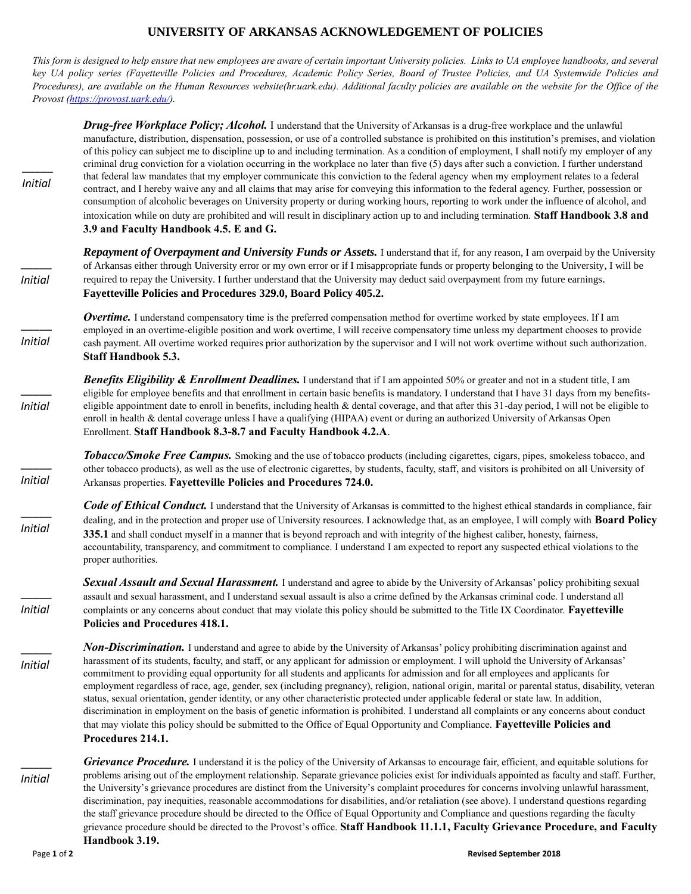## **UNIVERSITY OF ARKANSAS ACKNOWLEDGEMENT OF POLICIES**

*This form is designed to help ensure that new employees are aware of certain important University policies. Links to UA employee handbooks, and several key UA policy series (Fayetteville Policies and Procedures, Academic Policy Series, Board of Trustee Policies, and UA Systemwide Policies and Procedures), are available on the Human Resources website(hr.uark.edu). Additional faculty policies are available on the website for the Office of the Provost [\(https://provost.uark.edu/\)](https://provost.uark.edu/).*

| <b>Initial</b> | <b>Drug-free Workplace Policy; Alcohol.</b> I understand that the University of Arkansas is a drug-free workplace and the unlawful<br>manufacture, distribution, dispensation, possession, or use of a controlled substance is prohibited on this institution's premises, and violation<br>of this policy can subject me to discipline up to and including termination. As a condition of employment, I shall notify my employer of any<br>criminal drug conviction for a violation occurring in the workplace no later than five (5) days after such a conviction. I further understand<br>that federal law mandates that my employer communicate this conviction to the federal agency when my employment relates to a federal<br>contract, and I hereby waive any and all claims that may arise for conveying this information to the federal agency. Further, possession or<br>consumption of alcoholic beverages on University property or during working hours, reporting to work under the influence of alcohol, and<br>intoxication while on duty are prohibited and will result in disciplinary action up to and including termination. Staff Handbook 3.8 and<br>3.9 and Faculty Handbook 4.5. E and G. |  |
|----------------|-------------------------------------------------------------------------------------------------------------------------------------------------------------------------------------------------------------------------------------------------------------------------------------------------------------------------------------------------------------------------------------------------------------------------------------------------------------------------------------------------------------------------------------------------------------------------------------------------------------------------------------------------------------------------------------------------------------------------------------------------------------------------------------------------------------------------------------------------------------------------------------------------------------------------------------------------------------------------------------------------------------------------------------------------------------------------------------------------------------------------------------------------------------------------------------------------------------------|--|
| <b>Initial</b> | Repayment of Overpayment and University Funds or Assets. I understand that if, for any reason, I am overpaid by the University<br>of Arkansas either through University error or my own error or if I misappropriate funds or property belonging to the University, I will be<br>required to repay the University. I further understand that the University may deduct said overpayment from my future earnings.<br>Fayetteville Policies and Procedures 329.0, Board Policy 405.2.                                                                                                                                                                                                                                                                                                                                                                                                                                                                                                                                                                                                                                                                                                                               |  |
| <b>Initial</b> | <b>Overtime.</b> I understand compensatory time is the preferred compensation method for overtime worked by state employees. If I am<br>employed in an overtime-eligible position and work overtime, I will receive compensatory time unless my department chooses to provide<br>cash payment. All overtime worked requires prior authorization by the supervisor and I will not work overtime without such authorization.<br><b>Staff Handbook 5.3.</b>                                                                                                                                                                                                                                                                                                                                                                                                                                                                                                                                                                                                                                                                                                                                                          |  |
| <b>Initial</b> | <b>Benefits Eligibility &amp; Enrollment Deadlines.</b> I understand that if I am appointed 50% or greater and not in a student title, I am<br>eligible for employee benefits and that enrollment in certain basic benefits is mandatory. I understand that I have 31 days from my benefits-<br>eligible appointment date to enroll in benefits, including health & dental coverage, and that after this 31-day period, I will not be eligible to<br>enroll in health & dental coverage unless I have a qualifying (HIPAA) event or during an authorized University of Arkansas Open<br>Enrollment. Staff Handbook 8.3-8.7 and Faculty Handbook 4.2.A.                                                                                                                                                                                                                                                                                                                                                                                                                                                                                                                                                            |  |
| <b>Initial</b> | Tobacco/Smoke Free Campus. Smoking and the use of tobacco products (including cigarettes, cigars, pipes, smokeless tobacco, and<br>other tobacco products), as well as the use of electronic cigarettes, by students, faculty, staff, and visitors is prohibited on all University of<br>Arkansas properties. Fayetteville Policies and Procedures 724.0.                                                                                                                                                                                                                                                                                                                                                                                                                                                                                                                                                                                                                                                                                                                                                                                                                                                         |  |
| <b>Initial</b> | <b>Code of Ethical Conduct.</b> I understand that the University of Arkansas is committed to the highest ethical standards in compliance, fair<br>dealing, and in the protection and proper use of University resources. I acknowledge that, as an employee, I will comply with Board Policy<br>335.1 and shall conduct myself in a manner that is beyond reproach and with integrity of the highest caliber, honesty, fairness,<br>accountability, transparency, and commitment to compliance. I understand I am expected to report any suspected ethical violations to the<br>proper authorities.                                                                                                                                                                                                                                                                                                                                                                                                                                                                                                                                                                                                               |  |
| <b>Initial</b> | Sexual Assault and Sexual Harassment. I understand and agree to abide by the University of Arkansas' policy prohibiting sexual<br>assault and sexual harassment, and I understand sexual assault is also a crime defined by the Arkansas criminal code. I understand all<br>complaints or any concerns about conduct that may violate this policy should be submitted to the Title IX Coordinator. Fayetteville<br><b>Policies and Procedures 418.1.</b>                                                                                                                                                                                                                                                                                                                                                                                                                                                                                                                                                                                                                                                                                                                                                          |  |
| <b>Initial</b> | <b>Non-Discrimination.</b> I understand and agree to abide by the University of Arkansas' policy prohibiting discrimination against and<br>harassment of its students, faculty, and staff, or any applicant for admission or employment. I will uphold the University of Arkansas'<br>commitment to providing equal opportunity for all students and applicants for admission and for all employees and applicants for<br>employment regardless of race, age, gender, sex (including pregnancy), religion, national origin, marital or parental status, disability, veteran<br>status, sexual orientation, gender identity, or any other characteristic protected under applicable federal or state law. In addition,<br>discrimination in employment on the basis of genetic information is prohibited. I understand all complaints or any concerns about conduct<br>that may violate this policy should be submitted to the Office of Equal Opportunity and Compliance. Fayetteville Policies and<br>Procedures 214.1.                                                                                                                                                                                          |  |
| <b>Initial</b> | Grievance Procedure. I understand it is the policy of the University of Arkansas to encourage fair, efficient, and equitable solutions for<br>problems arising out of the employment relationship. Separate grievance policies exist for individuals appointed as faculty and staff. Further,<br>the University's grievance procedures are distinct from the University's complaint procedures for concerns involving unlawful harassment,<br>discrimination, pay inequities, reasonable accommodations for disabilities, and/or retaliation (see above). I understand questions regarding<br>the staff grievance procedure should be directed to the Office of Equal Opportunity and Compliance and questions regarding the faculty<br>grievance procedure should be directed to the Provost's office. Staff Handbook 11.1.1, Faculty Grievance Procedure, and Faculty<br>Handbook 3.19.                                                                                                                                                                                                                                                                                                                         |  |
| Page 1 of 2    | <b>Revised September 2018</b>                                                                                                                                                                                                                                                                                                                                                                                                                                                                                                                                                                                                                                                                                                                                                                                                                                                                                                                                                                                                                                                                                                                                                                                     |  |